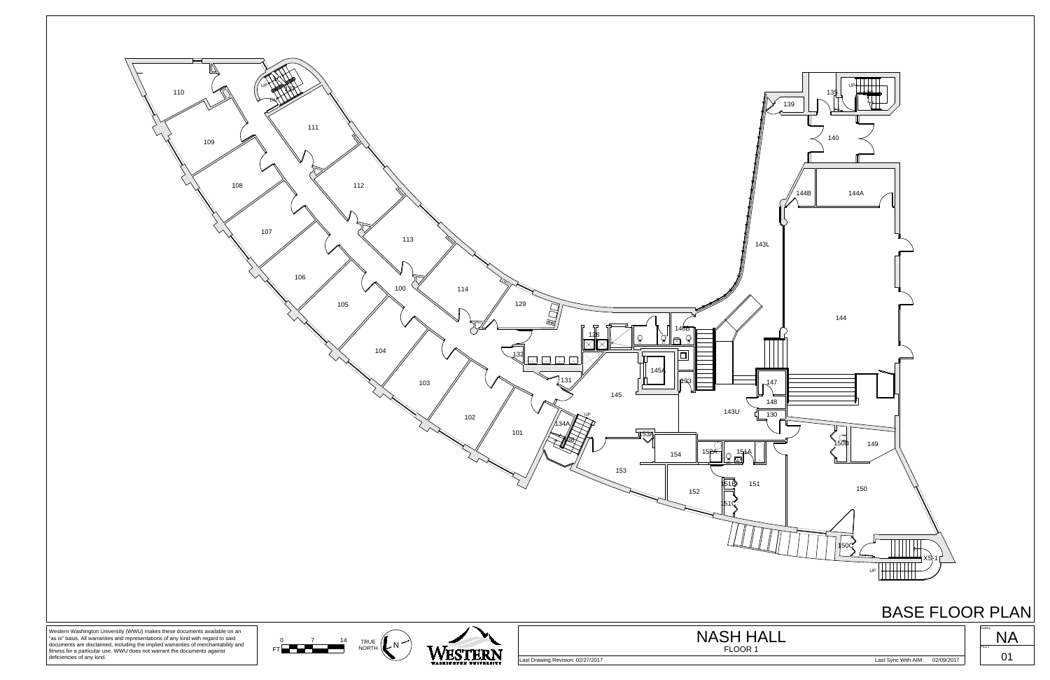

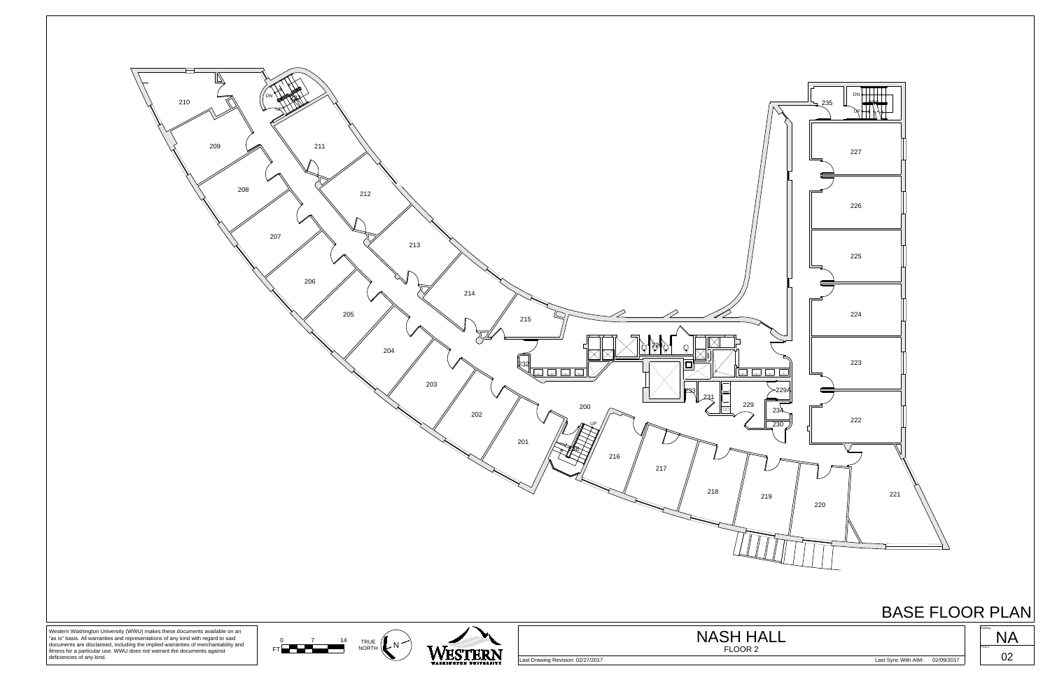



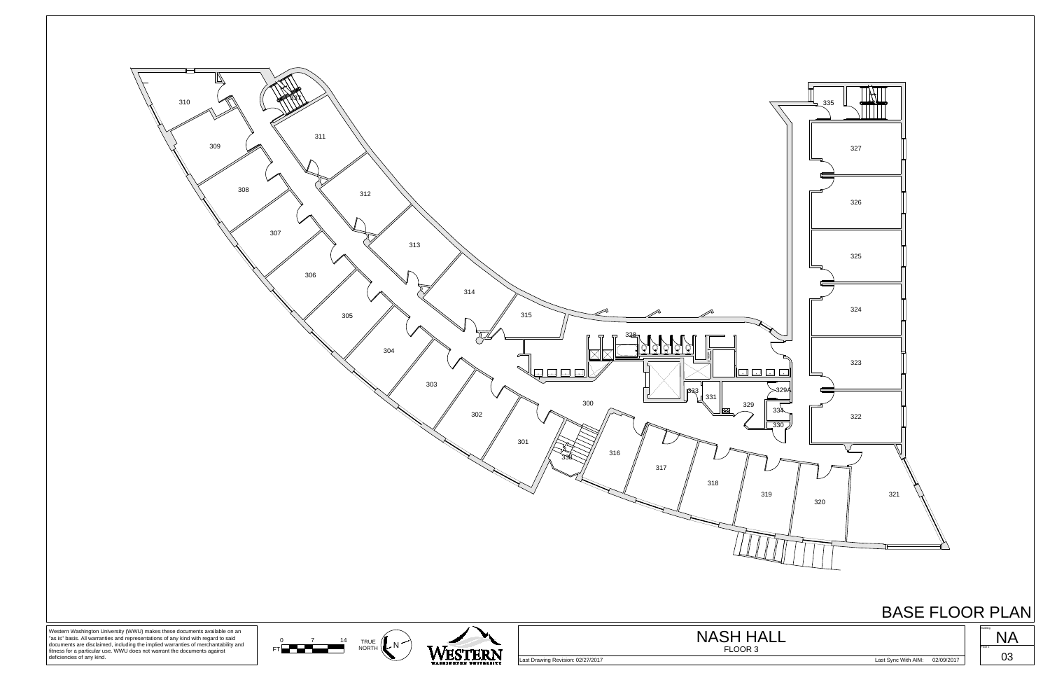



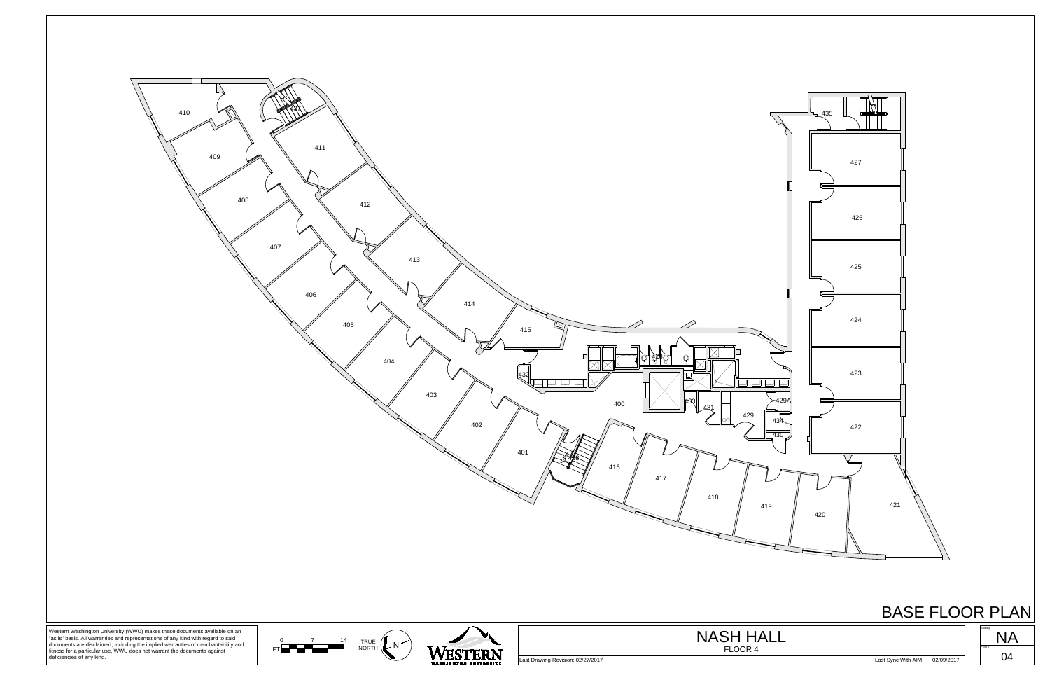



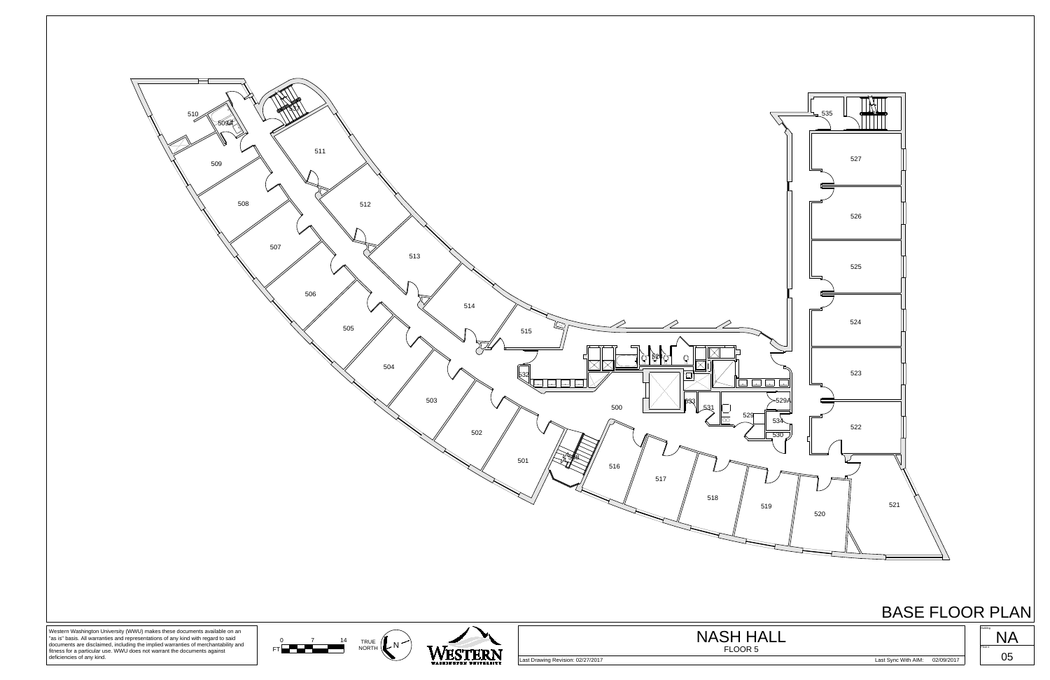



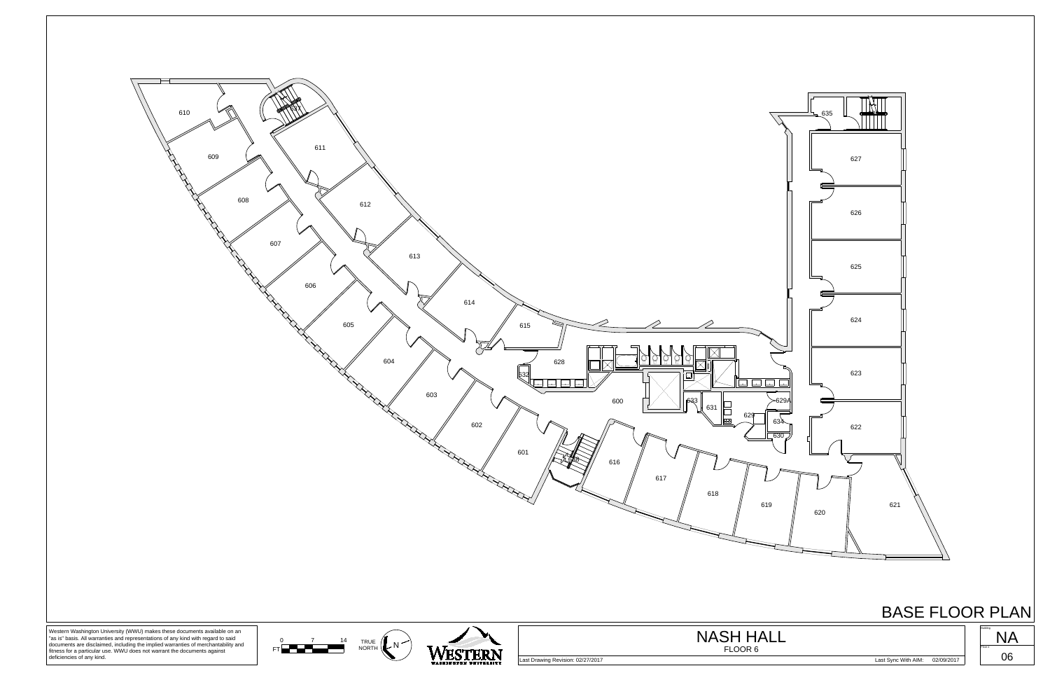



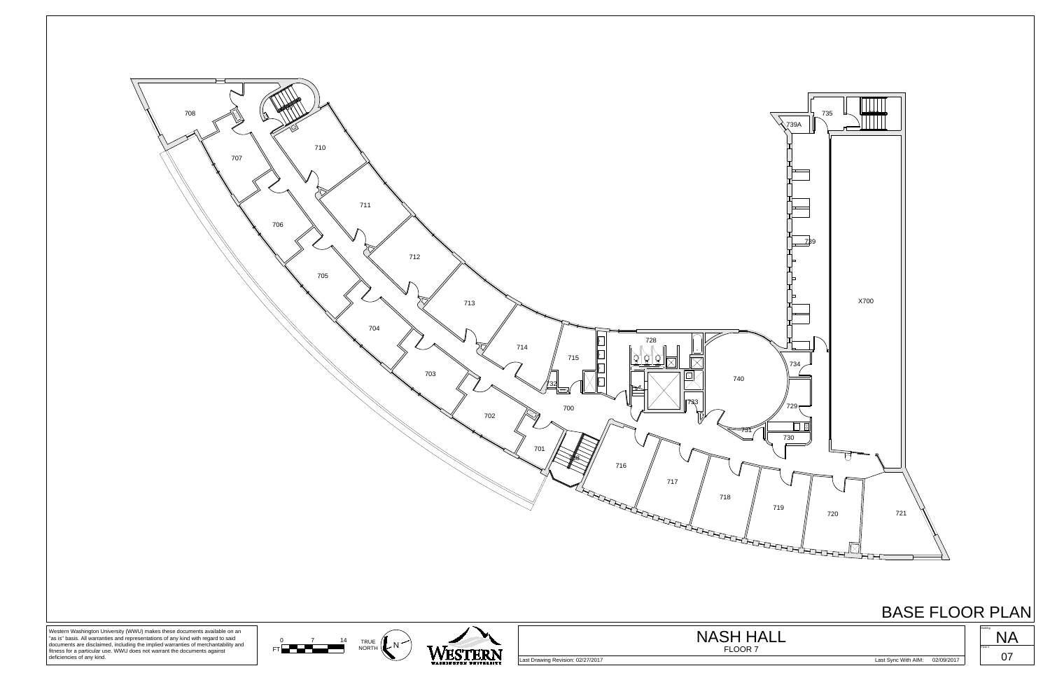



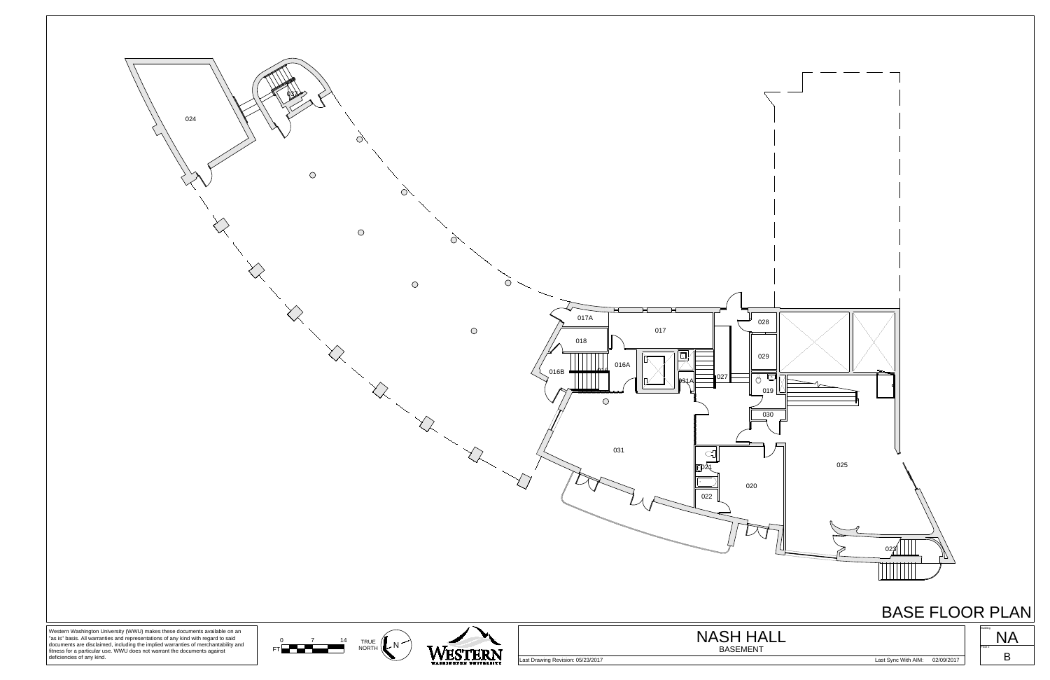